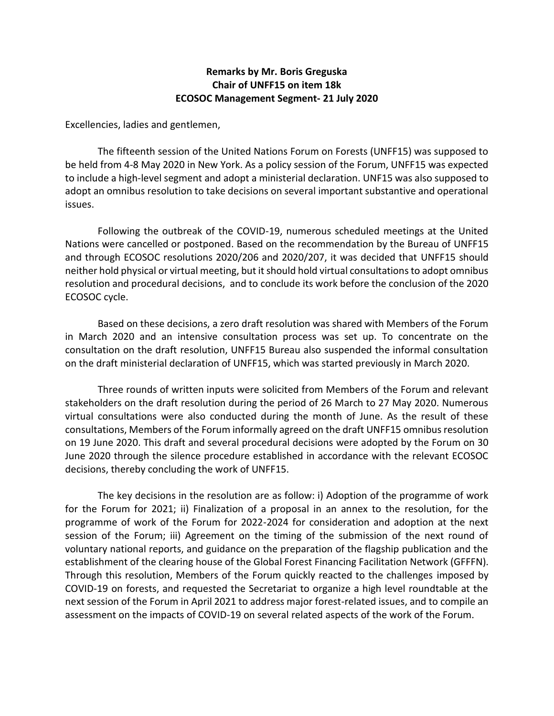## **Remarks by Mr. Boris Greguska Chair of UNFF15 on item 18k ECOSOC Management Segment- 21 July 2020**

Excellencies, ladies and gentlemen,

The fifteenth session of the United Nations Forum on Forests (UNFF15) was supposed to be held from 4-8 May 2020 in New York. As a policy session of the Forum, UNFF15 was expected to include a high-level segment and adopt a ministerial declaration. UNF15 was also supposed to adopt an omnibus resolution to take decisions on several important substantive and operational issues.

Following the outbreak of the COVID-19, numerous scheduled meetings at the United Nations were cancelled or postponed. Based on the recommendation by the Bureau of UNFF15 and through ECOSOC resolutions 2020/206 and 2020/207, it was decided that UNFF15 should neither hold physical or virtual meeting, but it should hold virtual consultations to adopt omnibus resolution and procedural decisions, and to conclude its work before the conclusion of the 2020 ECOSOC cycle.

Based on these decisions, a zero draft resolution was shared with Members of the Forum in March 2020 and an intensive consultation process was set up. To concentrate on the consultation on the draft resolution, UNFF15 Bureau also suspended the informal consultation on the draft ministerial declaration of UNFF15, which was started previously in March 2020.

Three rounds of written inputs were solicited from Members of the Forum and relevant stakeholders on the draft resolution during the period of 26 March to 27 May 2020. Numerous virtual consultations were also conducted during the month of June. As the result of these consultations, Members of the Forum informally agreed on the draft UNFF15 omnibus resolution on 19 June 2020. This draft and several procedural decisions were adopted by the Forum on 30 June 2020 through the silence procedure established in accordance with the relevant ECOSOC decisions, thereby concluding the work of UNFF15.

The key decisions in the resolution are as follow: i) Adoption of the programme of work for the Forum for 2021; ii) Finalization of a proposal in an annex to the resolution, for the programme of work of the Forum for 2022-2024 for consideration and adoption at the next session of the Forum; iii) Agreement on the timing of the submission of the next round of voluntary national reports, and guidance on the preparation of the flagship publication and the establishment of the clearing house of the Global Forest Financing Facilitation Network (GFFFN). Through this resolution, Members of the Forum quickly reacted to the challenges imposed by COVID-19 on forests, and requested the Secretariat to organize a high level roundtable at the next session of the Forum in April 2021 to address major forest-related issues, and to compile an assessment on the impacts of COVID-19 on several related aspects of the work of the Forum.